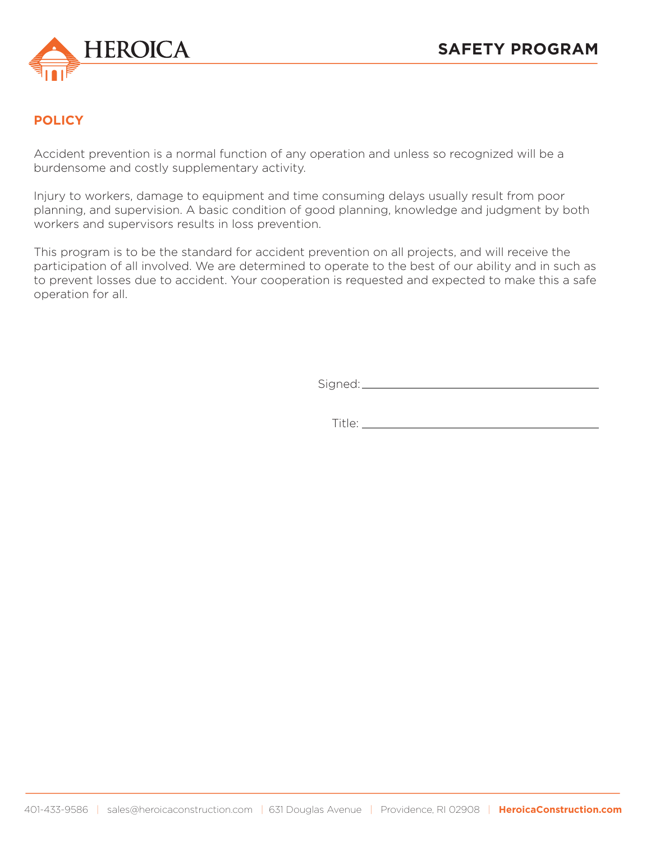

# **POLICY**

Accident prevention is a normal function of any operation and unless so recognized will be a burdensome and costly supplementary activity.

Injury to workers, damage to equipment and time consuming delays usually result from poor planning, and supervision. A basic condition of good planning, knowledge and judgment by both workers and supervisors results in loss prevention.

This program is to be the standard for accident prevention on all projects, and will receive the participation of all involved. We are determined to operate to the best of our ability and in such as to prevent losses due to accident. Your cooperation is requested and expected to make this a safe operation for all.

Signed:

Title: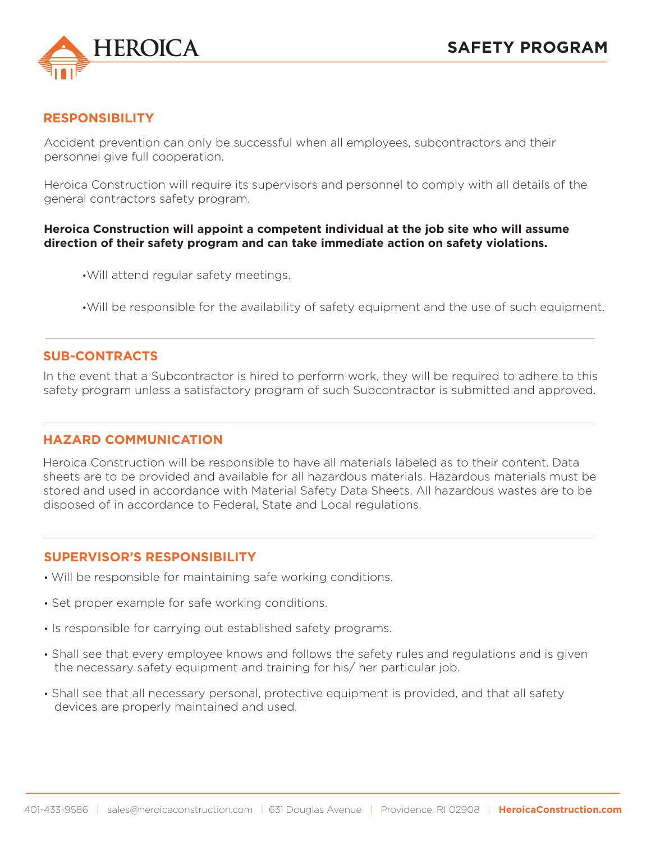

### **RESPONSIBILITY**

Accident prevention can only be successful when all employees, subcontractors and their personnel give full cooperation.

Heroica Construction will require its supervisors and personnel to comply with all details of the general contractors safety program.

#### **Heroica Construction will appoint a competent individual at the job site who will assume direction of their safety program and can take immediate action on safety violations.**

•Will attend regular safety meetings.

•Will be responsible for the availability of safety equipment and the use of such equipment.

### **SUB-CONTRACTS**

In the event that a Subcontractor is hired to perform work, they will be required to adhere to this safety program unless a satisfactory program of such Subcontractor is submitted and approved.

### **HAZARD COMMUNICATION**

Heroica Construction will be responsible to have all materials labeled as to their content. Data sheets are to be provided and available for all hazardous materials. Hazardous materials must be stored and used in accordance with Material Safety Data Sheets. All hazardous wastes are to be disposed of in accordance to Federal, State and Local regulations.

### **SUPERVISOR'S RESPONSIBILITY**

- Will be responsible for maintaining safe working conditions.
- Set proper example for safe working conditions.
- Is responsible for carrying out established safety programs.
- Shall see that every employee knows and follows the safety rules and regulations and is given the necessary safety equipment and training for his/ her particular job.
- Shall see that all necessary personal, protective equipment is provided, and that all safety devices are properly maintained and used.